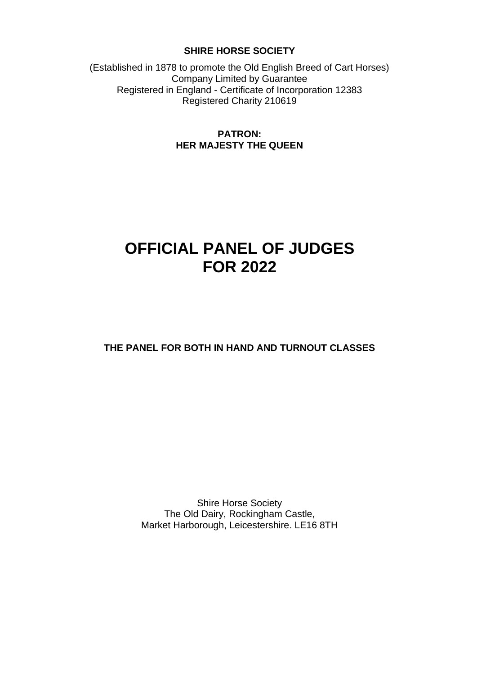## **SHIRE HORSE SOCIETY**

(Established in 1878 to promote the Old English Breed of Cart Horses) Company Limited by Guarantee Registered in England - Certificate of Incorporation 12383 Registered Charity 210619

# **PATRON: HER MAJESTY THE QUEEN**

# **OFFICIAL PANEL OF JUDGES FOR 2022**

**THE PANEL FOR BOTH IN HAND AND TURNOUT CLASSES**

Shire Horse Society The Old Dairy, Rockingham Castle, Market Harborough, Leicestershire. LE16 8TH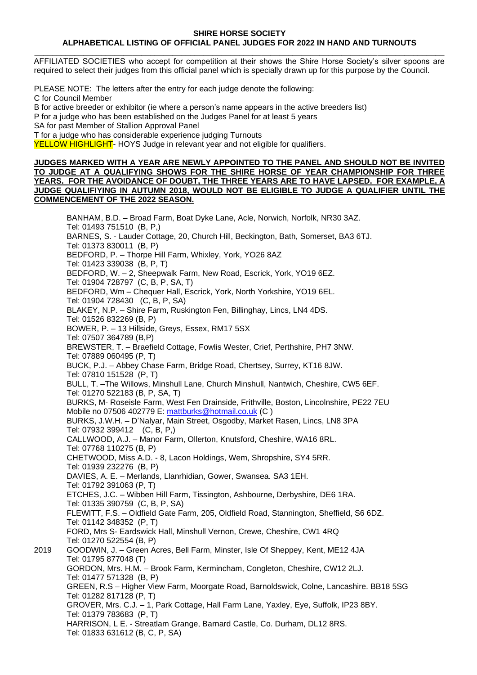#### **SHIRE HORSE SOCIETY ALPHABETICAL LISTING OF OFFICIAL PANEL JUDGES FOR 2022 IN HAND AND TURNOUTS**

\_\_\_\_\_\_\_\_\_\_\_\_\_\_\_\_\_\_\_\_\_\_\_\_\_\_\_\_\_\_\_\_\_\_\_\_\_\_\_\_\_\_\_\_\_\_\_\_\_\_\_\_\_\_\_\_\_\_\_\_\_\_\_\_\_\_\_\_\_\_\_\_\_\_\_\_\_\_\_\_\_\_\_\_\_\_\_\_\_\_\_\_ AFFILIATED SOCIETIES who accept for competition at their shows the Shire Horse Society's silver spoons are required to select their judges from this official panel which is specially drawn up for this purpose by the Council.

PLEASE NOTE: The letters after the entry for each judge denote the following: C for Council Member B for active breeder or exhibitor (ie where a person's name appears in the active breeders list) P for a judge who has been established on the Judges Panel for at least 5 years SA for past Member of Stallion Approval Panel

T for a judge who has considerable experience judging Turnouts

YELLOW HIGHLIGHT- HOYS Judge in relevant year and not eligible for qualifiers.

#### **JUDGES MARKED WITH A YEAR ARE NEWLY APPOINTED TO THE PANEL AND SHOULD NOT BE INVITED TO JUDGE AT A QUALIFYING SHOWS FOR THE SHIRE HORSE OF YEAR CHAMPIONSHIP FOR THREE YEARS. FOR THE AVOIDANCE OF DOUBT, THE THREE YEARS ARE TO HAVE LAPSED. FOR EXAMPLE, A JUDGE QUALIFIYING IN AUTUMN 2018, WOULD NOT BE ELIGIBLE TO JUDGE A QUALIFIER UNTIL THE COMMENCEMENT OF THE 2022 SEASON.**

BANHAM, B.D. – Broad Farm, Boat Dyke Lane, Acle, Norwich, Norfolk, NR30 3AZ. Tel: 01493 751510 (B, P,) BARNES, S. - Lauder Cottage, 20, Church Hill, Beckington, Bath, Somerset, BA3 6TJ. Tel: 01373 830011 (B, P) BEDFORD, P. – Thorpe Hill Farm, Whixley, York, YO26 8AZ Tel: 01423 339038 (B, P, T) BEDFORD, W. – 2, Sheepwalk Farm, New Road, Escrick, York, YO19 6EZ. Tel: 01904 728797 (C, B, P, SA, T) BEDFORD, Wm – Chequer Hall, Escrick, York, North Yorkshire, YO19 6EL. Tel: 01904 728430 (C, B, P, SA) BLAKEY, N.P. – Shire Farm, Ruskington Fen, Billinghay, Lincs, LN4 4DS. Tel: 01526 832269 (B, P) BOWER, P. – 13 Hillside, Greys, Essex, RM17 5SX Tel: 07507 364789 (B,P) BREWSTER, T. – Braefield Cottage, Fowlis Wester, Crief, Perthshire, PH7 3NW. Tel: 07889 060495 (P, T) BUCK, P.J. – Abbey Chase Farm, Bridge Road, Chertsey, Surrey, KT16 8JW. Tel: 07810 151528 (P, T) BULL, T. –The Willows, Minshull Lane, Church Minshull, Nantwich, Cheshire, CW5 6EF. Tel: 01270 522183 (B, P, SA, T) BURKS, M- Roseisle Farm, West Fen Drainside, Frithville, Boston, Lincolnshire, PE22 7EU Mobile no 07506 402779 E: [mattburks@hotmail.co.uk](mailto:mattburks@hotmail.co.uk) (C ) BURKS, J.W.H. – D'Nalyar, Main Street, Osgodby, Market Rasen, Lincs, LN8 3PA Tel: 07932 399412 (C, B, P,) CALLWOOD, A.J. – Manor Farm, Ollerton, Knutsford, Cheshire, WA16 8RL. Tel: 07768 110275 (B, P) CHETWOOD, Miss A.D. - 8, Lacon Holdings, Wem, Shropshire, SY4 5RR. Tel: 01939 232276 (B, P) DAVIES, A. E. – Merlands, Llanrhidian, Gower, Swansea. SA3 1EH. Tel: 01792 391063 (P, T) ETCHES, J.C. – Wibben Hill Farm, Tissington, Ashbourne, Derbyshire, DE6 1RA. Tel: 01335 390759 (C, B, P, SA) FLEWITT, F.S. – Oldfield Gate Farm, 205, Oldfield Road, Stannington, Sheffield, S6 6DZ. Tel: 01142 348352 (P, T) FORD, Mrs S- Eardswick Hall, Minshull Vernon, Crewe, Cheshire, CW1 4RQ Tel: 01270 522554 (B, P) 2019 GOODWIN, J. – Green Acres, Bell Farm, Minster, Isle Of Sheppey, Kent, ME12 4JA Tel: 01795 877048 (T) GORDON, Mrs. H.M. – Brook Farm, Kermincham, Congleton, Cheshire, CW12 2LJ. Tel: 01477 571328 (B, P) GREEN, R.S – Higher View Farm, Moorgate Road, Barnoldswick, Colne, Lancashire. BB18 5SG Tel: 01282 817128 (P, T) GROVER, Mrs. C.J. – 1, Park Cottage, Hall Farm Lane, Yaxley, Eye, Suffolk, IP23 8BY. Tel: 01379 783683 (P, T) HARRISON, L E. - Streatlam Grange, Barnard Castle, Co. Durham, DL12 8RS. Tel: 01833 631612 (B, C, P, SA)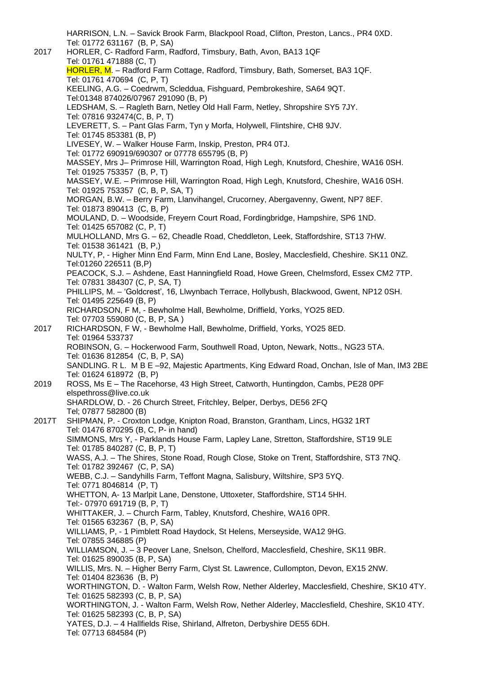HARRISON, L.N. – Savick Brook Farm, Blackpool Road, Clifton, Preston, Lancs., PR4 0XD. Tel: 01772 631167 (B, P, SA) 2017 HORLER, C- Radford Farm, Radford, Timsbury, Bath, Avon, BA13 1QF [Tel: 01761](tel:01761) 471888 (C, T) HORLER, M. - Radford Farm Cottage, Radford, Timsbury, Bath, Somerset, BA3 1QF. Tel: 01761 470694 (C, P, T) KEELING, A.G. – Coedrwm, Scleddua, Fishguard, Pembrokeshire, SA64 9QT. Tel:01348 874026/07967 291090 (B, P) LEDSHAM, S. – Ragleth Barn, Netley Old Hall Farm, Netley, Shropshire SY5 7JY. Tel: 07816 932474(C, B, P, T) LEVERETT, S. – Pant Glas Farm, Tyn y Morfa, Holywell, Flintshire, CH8 9JV. Tel: 01745 853381 (B, P) LIVESEY, W. – Walker House Farm, Inskip, Preston, PR4 0TJ. Tel: 01772 690919/690307 or 07778 655795 (B, P) MASSEY, Mrs J– Primrose Hill, Warrington Road, High Legh, Knutsford, Cheshire, WA16 0SH. Tel: 01925 753357 (B, P, T) MASSEY, W.E. – Primrose Hill, Warrington Road, High Legh, Knutsford, Cheshire, WA16 0SH. Tel: 01925 753357 (C, B, P, SA, T) MORGAN, B.W. – Berry Farm, Llanvihangel, Crucorney, Abergavenny, Gwent, NP7 8EF. Tel: 01873 890413 (C, B, P) MOULAND, D. – Woodside, Freyern Court Road, Fordingbridge, Hampshire, SP6 1ND. Tel: 01425 657082 (C, P, T) MULHOLLAND, Mrs G. – 62, Cheadle Road, Cheddleton, Leek, Staffordshire, ST13 7HW. Tel: 01538 361421 (B, P,) NULTY, P, - Higher Minn End Farm, Minn End Lane, Bosley, Macclesfield, Cheshire. SK11 0NZ. [Tel:01260](tel:01260) 226511 (B,P) PEACOCK, S.J. – Ashdene, East Hanningfield Road, Howe Green, Chelmsford, Essex CM2 7TP. Tel: 07831 384307 (C, P, SA, T) PHILLIPS, M. – 'Goldcrest', 16, Llwynbach Terrace, Hollybush, Blackwood, Gwent, NP12 0SH. Tel: 01495 225649 (B, P) RICHARDSON, F M, - Bewholme Hall, Bewholme, Driffield, Yorks, YO25 8ED. Tel: 07703 559080 (C, B, P, SA ) 2017 RICHARDSON, F W, - Bewholme Hall, Bewholme, Driffield, Yorks, YO25 8ED. Tel: 01964 533737 ROBINSON, G. – Hockerwood Farm, Southwell Road, Upton, Newark, Notts., NG23 5TA. Tel: 01636 812854 (C, B, P, SA) SANDLING. R L. M B E –92, Majestic Apartments, King Edward Road, Onchan, Isle of Man, IM3 2BE Tel: 01624 618972 (B, P) 2019 ROSS, Ms E – The Racehorse, 43 High Street, Catworth, Huntingdon, Cambs, PE28 0PF elspethross@live.co.uk SHARDLOW, D. - 26 Church Street, Fritchley, Belper, Derbys, DE56 2FQ Tel; 07877 582800 (B) 2017T SHIPMAN, P. - Croxton Lodge, Knipton Road, Branston, Grantham, Lincs, HG32 1RT Tel: 01476 870295 (B, C, P- in hand) SIMMONS, Mrs Y, - Parklands House Farm, Lapley Lane, Stretton, Staffordshire, ST19 9LE Tel: 01785 840287 (C, B, P, T) WASS, A.J. – The Shires, Stone Road, Rough Close, Stoke on Trent, Staffordshire, ST3 7NQ. Tel: 01782 392467 (C, P, SA) WEBB, C.J. – Sandyhills Farm, Teffont Magna, Salisbury, Wiltshire, SP3 5YQ. Tel: 0771 8046814 (P, T) WHETTON, A- 13 Marlpit Lane, Denstone, Uttoxeter, Staffordshire, ST14 5HH. Tel:- 07970 691719 (B, P, T) WHITTAKER, J. – Church Farm, Tabley, Knutsford, Cheshire, WA16 0PR. Tel: 01565 632367 (B, P, SA) WILLIAMS, P, - 1 Pimblett Road Haydock, St Helens, Merseyside, WA12 9HG. Tel: 07855 346885 (P) WILLIAMSON, J. – 3 Peover Lane, Snelson, Chelford, Macclesfield, Cheshire, SK11 9BR. Tel: 01625 890035 (B, P, SA) WILLIS, Mrs. N. – Higher Berry Farm, Clyst St. Lawrence, Cullompton, Devon, EX15 2NW. Tel: 01404 823636 (B, P) WORTHINGTON, D. - Walton Farm, Welsh Row, Nether Alderley, Macclesfield, Cheshire, SK10 4TY. Tel: 01625 582393 (C, B, P, SA) WORTHINGTON, J. - Walton Farm, Welsh Row, Nether Alderley, Macclesfield, Cheshire, SK10 4TY. Tel: 01625 582393 (C, B, P, SA) YATES, D.J. – 4 Hallfields Rise, Shirland, Alfreton, Derbyshire DE55 6DH. Tel: 07713 684584 (P)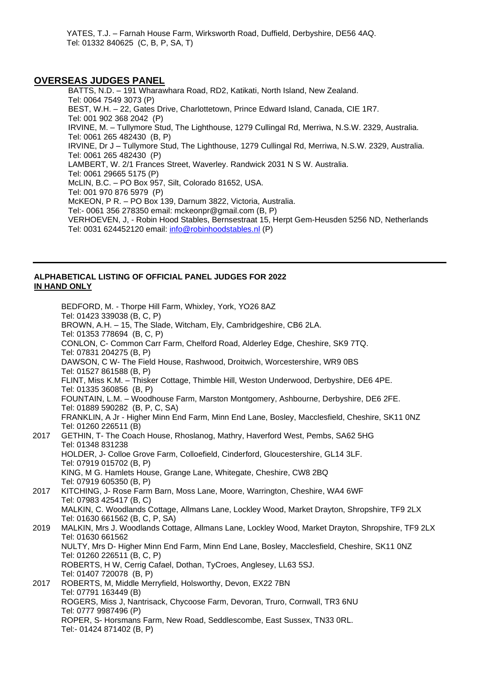YATES, T.J. – Farnah House Farm, Wirksworth Road, Duffield, Derbyshire, DE56 4AQ. Tel: 01332 840625 (C, B, P, SA, T)

### **OVERSEAS JUDGES PANEL**

BATTS, N.D. – 191 Wharawhara Road, RD2, Katikati, North Island, New Zealand. Tel: 0064 7549 3073 (P) BEST, W.H. – 22, Gates Drive, Charlottetown, Prince Edward Island, Canada, CIE 1R7. Tel: 001 902 368 2042 (P) IRVINE, M. – Tullymore Stud, The Lighthouse, 1279 Cullingal Rd, Merriwa, N.S.W. 2329, Australia. Tel: 0061 265 482430 (B, P) IRVINE, Dr J – Tullymore Stud, The Lighthouse, 1279 Cullingal Rd, Merriwa, N.S.W. 2329, Australia. Tel: 0061 265 482430 (P) LAMBERT, W. 2/1 Frances Street, Waverley. Randwick 2031 N S W. Australia. Tel: 0061 29665 5175 (P) McLIN, B.C. – PO Box 957, Silt, Colorado 81652, USA. Tel: 001 970 876 5979 (P) McKEON, P R. – PO Box 139, Darnum 3822, Victoria, Australia. Tel:- 0061 356 278350 email: mckeonpr@gmail.com (B, P) VERHOEVEN, J, - Robin Hood Stables, Bernsestraat 15, Herpt Gem-Heusden 5256 ND, Netherlands Tel: 0031 624452120 email: [info@robinhoodstables.nl](mailto:info@robinhoodstables.nl) (P)

#### **ALPHABETICAL LISTING OF OFFICIAL PANEL JUDGES FOR 2022 IN HAND ONLY**

BEDFORD, M. - Thorpe Hill Farm, Whixley, York, YO26 8AZ Tel: 01423 339038 (B, C, P) BROWN, A.H. – 15, The Slade, Witcham, Ely, Cambridgeshire, CB6 2LA. Tel: 01353 778694 (B, C, P) CONLON, C- Common Carr Farm, Chelford Road, Alderley Edge, Cheshire, SK9 7TQ. Tel: 07831 204275 (B, P) DAWSON, C W- The Field House, Rashwood, Droitwich, Worcestershire, WR9 0BS Tel: 01527 861588 (B, P) FLINT, Miss K.M. – Thisker Cottage, Thimble Hill, Weston Underwood, Derbyshire, DE6 4PE. Tel: 01335 360856 (B, P) FOUNTAIN, L.M. – Woodhouse Farm, Marston Montgomery, Ashbourne, Derbyshire, DE6 2FE. Tel: 01889 590282 (B, P, C, SA) FRANKLIN, A Jr - Higher Minn End Farm, Minn End Lane, Bosley, Macclesfield, Cheshire, SK11 0NZ Tel: 01260 226511 (B) 2017 GETHIN, T- The Coach House, Rhoslanog, Mathry, Haverford West, Pembs, SA62 5HG Tel: 01348 831238 HOLDER, J- Colloe Grove Farm, Colloefield, Cinderford, Gloucestershire, GL14 3LF. Tel: 07919 015702 (B, P) KING, M G. Hamlets House, Grange Lane, Whitegate, Cheshire, CW8 2BQ Tel: 07919 605350 (B, P) 2017 KITCHING, J- Rose Farm Barn, Moss Lane, Moore, Warrington, Cheshire, WA4 6WF Tel: 07983 425417 (B, C) MALKIN, C. Woodlands Cottage, Allmans Lane, Lockley Wood, Market Drayton, Shropshire, TF9 2LX Tel: 01630 661562 (B, C, P, SA) 2019 MALKIN, Mrs J. Woodlands Cottage, Allmans Lane, Lockley Wood, Market Drayton, Shropshire, TF9 2LX Tel: 01630 661562 NULTY, Mrs D- Higher Minn End Farm, Minn End Lane, Bosley, Macclesfield, Cheshire, SK11 0NZ Tel: 01260 226511 (B, C, P) ROBERTS, H W, Cerrig Cafael, Dothan, TyCroes, Anglesey, LL63 5SJ. Tel: 01407 720078 (B, P) 2017 ROBERTS, M, Middle Merryfield, Holsworthy, Devon, EX22 7BN Tel: 07791 163449 (B) ROGERS, Miss J, Nantrisack, Chycoose Farm, Devoran, Truro, Cornwall, TR3 6NU Tel: 0777 9987496 (P) ROPER, S- Horsmans Farm, New Road, Seddlescombe, East Sussex, TN33 0RL. Tel:- 01424 871402 (B, P)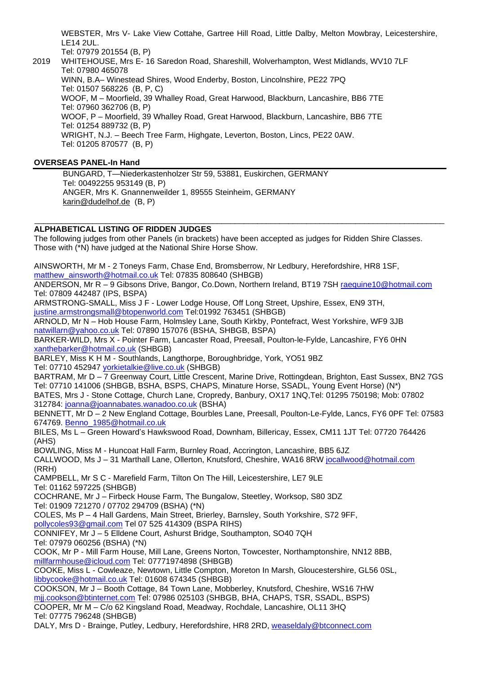WEBSTER, Mrs V- Lake View Cottahe, Gartree Hill Road, Little Dalby, Melton Mowbray, Leicestershire, LE14 2UL. Tel: 07979 201554 (B, P)

2019 WHITEHOUSE, Mrs E- 16 Saredon Road, Shareshill, Wolverhampton, West Midlands, WV10 7LF Tel: 07980 465078 WINN, B.A– Winestead Shires, Wood Enderby, Boston, Lincolnshire, PE22 7PQ Tel: 01507 568226 (B, P, C) WOOF, M – Moorfield, 39 Whalley Road, Great Harwood, Blackburn, Lancashire, BB6 7TE Tel: 07960 362706 (B, P) WOOF, P – Moorfield, 39 Whalley Road, Great Harwood, Blackburn, Lancashire, BB6 7TE Tel: 01254 889732 (B, P) WRIGHT, N.J. – Beech Tree Farm, Highgate, Leverton, Boston, Lincs, PE22 0AW. Tel: 01205 870577 (B, P)

## **OVERSEAS PANEL-In Hand**

BUNGARD, T—Niederkastenholzer Str 59, 53881, Euskirchen, GERMANY Tel: 00492255 953149 (B, P) ANGER, Mrs K. Gnannenweilder 1, 89555 Steinheim, GERMANY [karin@dudelhof.de](mailto:karin@dudelhof.de) (B, P)

#### \_\_\_\_\_\_\_\_\_\_\_\_\_\_\_\_\_\_\_\_\_\_\_\_\_\_\_\_\_\_\_\_\_\_\_\_\_\_\_\_\_\_\_\_\_\_\_\_\_\_\_\_\_\_\_\_\_\_\_\_\_\_\_\_\_\_\_\_\_\_\_\_\_\_\_\_\_\_\_\_\_\_\_\_\_\_\_\_\_\_\_\_ **ALPHABETICAL LISTING OF RIDDEN JUDGES**

The following judges from other Panels (in brackets) have been accepted as judges for Ridden Shire Classes. Those with (\*N) have judged at the National Shire Horse Show.

AINSWORTH, Mr M - 2 Toneys Farm, Chase End, Bromsberrow, Nr Ledbury, Herefordshire, HR8 1SF, [matthew\\_ainsworth@hotmail.co.uk](mailto:matthew_ainsworth@hotmail.co.uk) Tel: 07835 808640 (SHBGB)

ANDERSON, Mr R - 9 Gibsons Drive, Bangor, Co.Down, Northern Ireland, BT19 7SH [raequine10@hotmail.com](mailto:raequine10@hotmail.com) Tel: 07809 442487 (IPS, BSPA)

ARMSTRONG-SMALL, Miss J F - Lower Lodge House, Off Long Street, Upshire, Essex, EN9 3TH, [justine.armstrongsmall@btopenworld.com](mailto:justine.armstrongsmall@btopenworld.com) Tel:01992 763451 (SHBGB)

ARNOLD, Mr N – Hob House Farm, Holmsley Lane, South Kirkby, Pontefract, West Yorkshire, WF9 3JB [natwillarn@yahoo.co.uk](mailto:natwillarn@yahoo.co.uk) Tel: 07890 157076 (BSHA, SHBGB, BSPA)

BARKER-WILD, Mrs X - Pointer Farm, Lancaster Road, Preesall, Poulton-le-Fylde, Lancashire, FY6 0HN [xanthebarker@hotmail.co.uk](mailto:xanthebarker@hotmail.co.uk) (SHBGB)

BARLEY, Miss K H M - Southlands, Langthorpe, Boroughbridge, York, YO51 9BZ Tel: 07710 452947 [yorkietalkie@live.co.uk](mailto:yorkietalkie@live.co.uk) (SHBGB)

BARTRAM, Mr D – 7 Greenway Court, Little Crescent, Marine Drive, Rottingdean, Brighton, East Sussex, BN2 7GS Tel: 07710 141006 (SHBGB, BSHA, BSPS, CHAPS, Minature Horse, SSADL, Young Event Horse) (N\*) BATES, Mrs J - Stone Cottage, Church Lane, Cropredy, Banbury, OX17 1NQ,Tel: 01295 750198; Mob: 07802 312784: [joanna@joannabates.wanadoo.co.uk](mailto:joanna@joannabates.wanadoo.co.uk) (BSHA)

BENNETT, Mr D – 2 New England Cottage, Bourbles Lane, Preesall, Poulton-Le-Fylde, Lancs, FY6 0PF Tel: 07583 674769. [Benno\\_1985@hotmail.co.uk](mailto:Benno_1985@hotmail.co.uk)

BILES, Ms L – Green Howard's Hawkswood Road, Downham, Billericay, Essex, CM11 1JT Tel: 07720 764426 (AHS)

BOWLING, Miss M - Huncoat Hall Farm, Burnley Road, Accrington, Lancashire, BB5 6JZ

CALLWOOD, Ms J – 31 Marthall Lane, Ollerton, Knutsford, Cheshire, WA16 8RW [jocallwood@hotmail.com](mailto:jocallwood@hotmail.com) (RRH)

CAMPBELL, Mr S C - Marefield Farm, Tilton On The Hill, Leicestershire, LE7 9LE Tel: 01162 597225 (SHBGB)

COCHRANE, Mr J – Firbeck House Farm, The Bungalow, Steetley, Worksop, S80 3DZ Tel: 01909 721270 / 07702 294709 (BSHA) (\*N)

COLES, Ms P – 4 Hall Gardens, Main Street, Brierley, Barnsley, South Yorkshire, S72 9FF, [pollycoles93@gmail.com](mailto:pollycoles93@gmail.com) Tel 07 525 414309 (BSPA RIHS)

CONNIFEY, Mr J – 5 Elldene Court, Ashurst Bridge, Southampton, SO40 7QH

Tel: 07979 060256 (BSHA) (\*N)

COOK, Mr P - Mill Farm House, Mill Lane, Greens Norton, Towcester, Northamptonshire, NN12 8BB, [millfarmhouse@icloud.com](mailto:millfarmhouse@icloud.com) Tel: 07771974898 (SHBGB)

COOKE, Miss L - Cowleaze, Newtown, Little Compton, Moreton In Marsh, Gloucestershire, GL56 0SL, [libbycooke@hotmail.co.uk](mailto:libbycooke@hotmail.co.uk) Tel: 01608 674345 (SHBGB)

COOKSON, Mr J – Booth Cottage, 84 Town Lane, Mobberley, Knutsford, Cheshire, WS16 7HW [mjj.cookson@btinternet.com](mailto:mjj.cookson@btinternet.com) Tel: 07986 025103 (SHBGB, BHA, CHAPS, TSR, SSADL, BSPS) COOPER, Mr M – C/o 62 Kingsland Road, Meadway, Rochdale, Lancashire, OL11 3HQ Tel: 07775 796248 (SHBGB)

DALY, Mrs D - Brainge, Putley, Ledbury, Herefordshire, HR8 2RD, [weaseldaly@btconnect.com](mailto:weaseldaly@btconnect.com)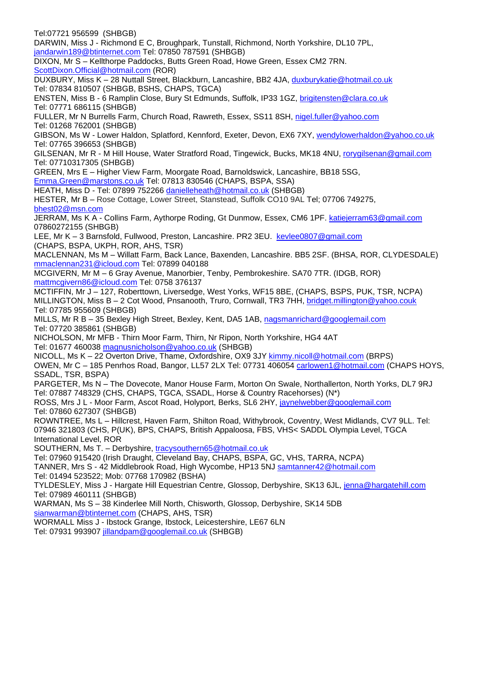Tel:07721 956599 (SHBGB) DARWIN, Miss J - Richmond E C, Broughpark, Tunstall, Richmond, North Yorkshire, DL10 7PL, [jandarwin189@btinternet.com](mailto:jandarwin189@btinternet.com) Tel: 07850 787591 (SHBGB) DIXON, Mr S – Kellthorpe Paddocks, Butts Green Road, Howe Green, Essex CM2 7RN. [ScottDixon.Official@hotmail.com](mailto:ScottDixon.Official@hotmail.com) (ROR) DUXBURY, Miss K – 28 Nuttall Street, Blackburn, Lancashire, BB2 4JA, [duxburykatie@hotmail.co.uk](mailto:duxburykatie@hotmail.co.uk) Tel: 07834 810507 (SHBGB, BSHS, CHAPS, TGCA) ENSTEN, Miss B - 6 Ramplin Close, Bury St Edmunds, Suffolk, IP33 1GZ, [brigitensten@clara.co.uk](mailto:brigitensten@clara.co.uk) Tel: 07771 686115 (SHBGB) FULLER, Mr N Burrells Farm, Church Road, Rawreth, Essex, SS11 8SH, [nigel.fuller@yahoo.com](mailto:nigel.fuller@yahoo.com) Tel: 01268 762001 (SHBGB) GIBSON, Ms W - Lower Haldon, Splatford, Kennford, Exeter, Devon, EX6 7XY, [wendylowerhaldon@yahoo.co.uk](mailto:wendylowerhaldon@yahoo.co.uk) Tel: 07765 396653 (SHBGB) GILSENAN, Mr R - M Hill House, Water Stratford Road, Tingewick, Bucks, MK18 4NU, [rorygilsenan@gmail.com](mailto:rorygilsenan@gmail.com) Tel: 07710317305 (SHBGB) GREEN, Mrs E – Higher View Farm, Moorgate Road, Barnoldswick, Lancashire, BB18 5SG, [Emma.Green@marstons.co.uk](mailto:Emma.Green@marstons.co.uk) Tel: 07813 830546 (CHAPS, BSPA, SSA) HEATH, Miss D - Tel: 07899 752266 [danielleheath@hotmail.co.uk](mailto:danielleheath@hotmail.co.uk) (SHBGB) HESTER, Mr B – Rose Cottage, Lower Street, Stanstead, Suffolk CO10 9AL Tel; 07706 749275, [bhest02@msn.com](mailto:bhest02@msn.com) JERRAM, Ms K A - Collins Farm, Aythorpe Roding, Gt Dunmow, Essex, CM6 1PF. [katiejerram63@gmail.com](mailto:katiejerram63@gmail.com) 07860272155 (SHBGB) LEE, Mr K – 3 Barnsfold, Fullwood, Preston, Lancashire. PR2 3EU. [kevlee0807@gmail.com](mailto:kevlee0807@gmail.com) (CHAPS, BSPA, UKPH, ROR, AHS, TSR) MACLENNAN, Ms M – Willatt Farm, Back Lance, Baxenden, Lancashire. BB5 2SF. (BHSA, ROR, CLYDESDALE) [mmaclennan231@icloud.com](mailto:mmaclennan231@icloud.com) Tel: 07899 040188 MCGIVERN, Mr M – 6 Gray Avenue, Manorbier, Tenby, Pembrokeshire. SA70 7TR. (IDGB, ROR) [mattmcgivern86@icloud.com](mailto:mattmcgivern86@icloud.com) Tel: 0758 376137 MCTIFFIN, Mr J – 127, Roberttown, Liversedge, West Yorks, WF15 8BE, (CHAPS, BSPS, PUK, TSR, NCPA) MILLINGTON, Miss B - 2 Cot Wood, Pnsanooth, Truro, Cornwall, TR3 7HH, [bridget.millington@yahoo.couk](mailto:bridget.millington@yahoo.couk) Tel: 07785 955609 (SHBGB) MILLS, Mr R B – 35 Bexley High Street, Bexley, Kent, DA5 1AB, [nagsmanrichard@googlemail.com](mailto:nagsmanrichard@googlemail.com) Tel: 07720 385861 (SHBGB) NICHOLSON, Mr MFB - Thirn Moor Farm, Thirn, Nr Ripon, North Yorkshire, HG4 4AT Tel: 01677 460038 [magnusnicholson@yahoo.co.uk](mailto:magnusnicholson@yahoo.co.uk) (SHBGB) NICOLL, Ms K – 22 Overton Drive, Thame, Oxfordshire, OX9 3JY [kimmy.nicoll@hotmail.com](mailto:kimmy.nicoll@hotmail.com) (BRPS) OWEN, Mr C – 185 Penrhos Road, Bangor, LL57 2LX Tel: 07731 406054 [carlowen1@hotmail.com](mailto:carlowen1@hotmail.com) (CHAPS HOYS, SSADL, TSR, BSPA) PARGETER, Ms N – The Dovecote, Manor House Farm, Morton On Swale, Northallerton, North Yorks, DL7 9RJ Tel: 07887 748329 (CHS, CHAPS, TGCA, SSADL, Horse & Country Racehorses) (N\*) ROSS, Mrs J L - Moor Farm, Ascot Road, Holyport, Berks, SL6 2HY, [jaynelwebber@googlemail.com](mailto:jaynelwebber@googlemail.com) Tel: 07860 627307 (SHBGB) ROWNTREE, Ms L – Hillcrest, Haven Farm, Shilton Road, Withybrook, Coventry, West Midlands, CV7 9LL. Tel: 07946 321803 (CHS, P(UK), BPS, CHAPS, British Appaloosa, FBS, VHS< SADDL Olympia Level, TGCA International Level, ROR SOUTHERN, Ms T. – Derbyshire, [tracysouthern65@hotmail.co.uk](mailto:tracysouthern65@hotmail.co.uk) Tel: 07960 915420 (Irish Draught, Cleveland Bay, CHAPS, BSPA, GC, VHS, TARRA, NCPA) TANNER, Mrs S - 42 Middlebrook Road, High Wycombe, HP13 5NJ [samtanner42@hotmail.com](mailto:samtanner42@hotmail.com) Tel: 01494 523522; Mob: 07768 170982 (BSHA) TYLDESLEY, Miss J - Hargate Hill Equestrian Centre, Glossop, Derbyshire, SK13 6JL, [jenna@hargatehill.com](mailto:jenna@hargatehill.com) Tel: 07989 460111 (SHBGB) WARMAN, Ms S – 38 Kinderlee Mill North, Chisworth, Glossop, Derbyshire, SK14 5DB [sianwarman@btinternet.com](mailto:sianwarman@btinternet.com) (CHAPS, AHS, TSR) WORMALL Miss J - Ibstock Grange, Ibstock, Leicestershire, LE67 6LN

Tel: 07931 993907 [jillandpam@googlemail.co.uk](mailto:jillandpam@googlemail.co.uk) (SHBGB)